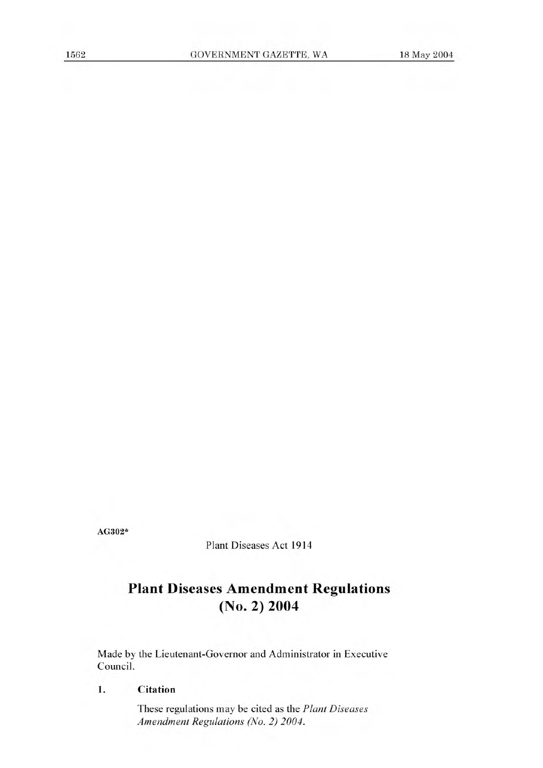**AG302\*** 

Plant Diseases Act 1914

# **Plant Diseases Amendment Regulations (No. 2) 2004**

Made by the Lieutenant-Governor and Administrator in Executive Council.

## **1. Citation**

These regulations may be cited as the *Plant Diseases Amendment Regulations (No. 2) 2004.*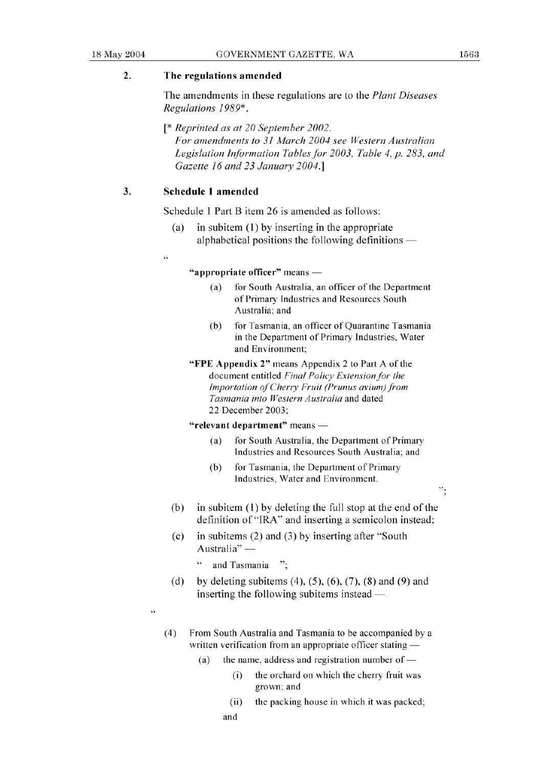$\ddot{\cdot}$ 

# **2. The regulations amended**

The amendments in these regulations are to the *Plant Diseases Regulations 1989\*.* 

*[\* Reprinted as at 20 September 2002. For amendments to 31 March 2004 see Western Australian Legislation Information Tables for 2003, Table 4, p. 283, and Gazette 16 and 23 January 2004.]* 

## **3. Schedule 1 amended**

Schedule 1 Part B item 26 is amended as follows:

- (a) in subitem (1) by inserting in the appropriate alphabetical positions the following definitions  $-$
- $\epsilon$

### "**appropriate officer"** means —

- (a) for South Australia, an officer of the Department of Primary Industries and Resources South Australia; and
- (b) for Tasmania, an officer of Quarantine Tasmania in the Department of Primary Industries, Water and Environment;
- "FPE Appendix 2" means Appendix 2 to Part A of the *document entitled Final Policy Extension for the Importation of Cherry Fruit (Prunus avium) from Tasmania into Western Australia* and dated 22 December 2003;

### **"relevant department"** means -

- (a) for South Australia, the Department of Primary Industries and Resources South Australia; and
- (b) for Tasmania, the Department of Primary Industries, Water and Environment.
- (b) in subitem (1) by deleting the full stop at the end of the definition of "IRA" and inserting a semicolon instead;
- (c) in subitems (2) and (3) by inserting after "South definition of "IR<br>in subitems (2) a<br>Australia" —
	- " and Tasmania  $\cdot$
- (d) by deleting subitems (4), *(5),* (6), (7), (8) and (9) and inserting the following subitems instead  $-$
- M.
- (4) From South Australia and Tasmania to be accompanied by a written verification from an appropriate officer stating -
	- (a) the name, address and registration number of  $-$ 
		- *(1)* the orchard on which the cherry fruit was grown; and
		- (ii) the packing house in which it was packed: